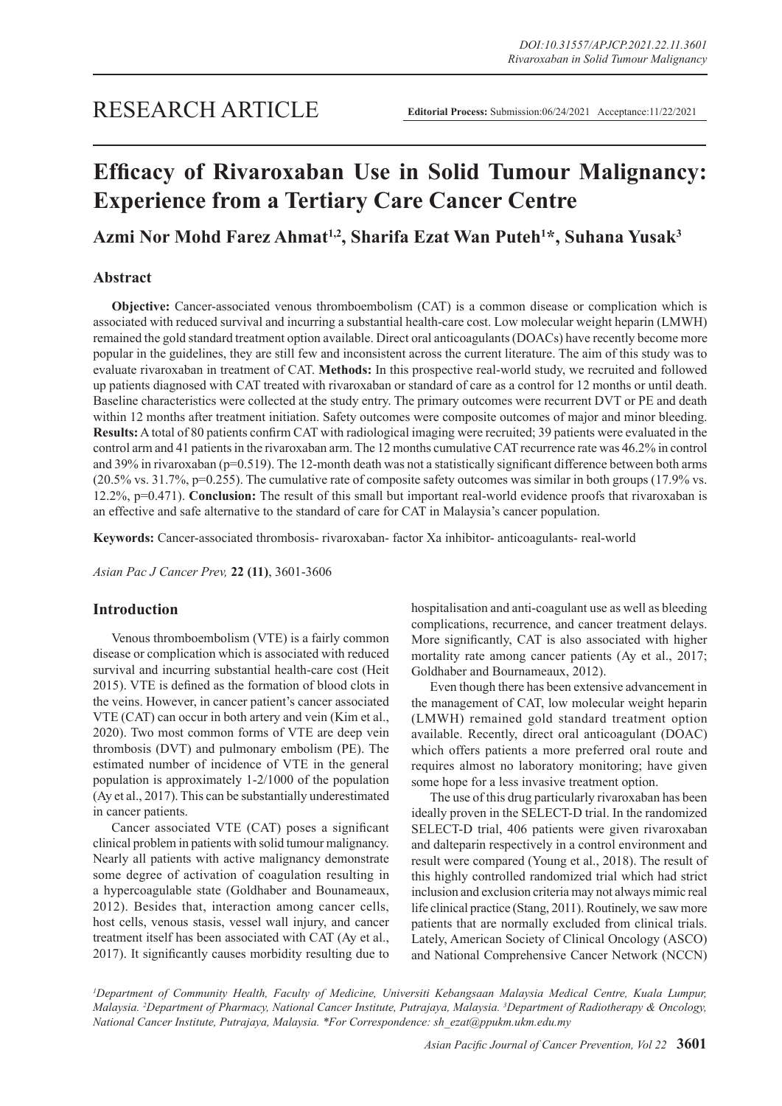# **Efficacy of Rivaroxaban Use in Solid Tumour Malignancy: Experience from a Tertiary Care Cancer Centre**

## **Azmi Nor Mohd Farez Ahmat1,2, Sharifa Ezat Wan Puteh<sup>1</sup> \*, Suhana Yusak3**

## **Abstract**

**Objective:** Cancer-associated venous thromboembolism (CAT) is a common disease or complication which is associated with reduced survival and incurring a substantial health-care cost. Low molecular weight heparin (LMWH) remained the gold standard treatment option available. Direct oral anticoagulants (DOACs) have recently become more popular in the guidelines, they are still few and inconsistent across the current literature. The aim of this study was to evaluate rivaroxaban in treatment of CAT. **Methods:** In this prospective real-world study, we recruited and followed up patients diagnosed with CAT treated with rivaroxaban or standard of care as a control for 12 months or until death. Baseline characteristics were collected at the study entry. The primary outcomes were recurrent DVT or PE and death within 12 months after treatment initiation. Safety outcomes were composite outcomes of major and minor bleeding. **Results:** A total of 80 patients confirm CAT with radiological imaging were recruited; 39 patients were evaluated in the control arm and 41 patients in the rivaroxaban arm. The 12 months cumulative CAT recurrence rate was 46.2% in control and 39% in rivaroxaban (p=0.519). The 12-month death was not a statistically significant difference between both arms (20.5% vs. 31.7%, p=0.255). The cumulative rate of composite safety outcomes was similar in both groups (17.9% vs. 12.2%, p=0.471). **Conclusion:** The result of this small but important real-world evidence proofs that rivaroxaban is an effective and safe alternative to the standard of care for CAT in Malaysia's cancer population.

**Keywords:** Cancer-associated thrombosis- rivaroxaban- factor Xa inhibitor- anticoagulants- real-world

*Asian Pac J Cancer Prev,* **22 (11)**, 3601-3606

## **Introduction**

Venous thromboembolism (VTE) is a fairly common disease or complication which is associated with reduced survival and incurring substantial health-care cost (Heit 2015). VTE is defined as the formation of blood clots in the veins. However, in cancer patient's cancer associated VTE (CAT) can occur in both artery and vein (Kim et al., 2020). Two most common forms of VTE are deep vein thrombosis (DVT) and pulmonary embolism (PE). The estimated number of incidence of VTE in the general population is approximately 1-2/1000 of the population (Ay et al., 2017). This can be substantially underestimated in cancer patients.

Cancer associated VTE (CAT) poses a significant clinical problem in patients with solid tumour malignancy. Nearly all patients with active malignancy demonstrate some degree of activation of coagulation resulting in a hypercoagulable state (Goldhaber and Bounameaux, 2012). Besides that, interaction among cancer cells, host cells, venous stasis, vessel wall injury, and cancer treatment itself has been associated with CAT (Ay et al., 2017). It significantly causes morbidity resulting due to hospitalisation and anti-coagulant use as well as bleeding complications, recurrence, and cancer treatment delays. More significantly, CAT is also associated with higher mortality rate among cancer patients (Ay et al., 2017; Goldhaber and Bournameaux, 2012).

Even though there has been extensive advancement in the management of CAT, low molecular weight heparin (LMWH) remained gold standard treatment option available. Recently, direct oral anticoagulant (DOAC) which offers patients a more preferred oral route and requires almost no laboratory monitoring; have given some hope for a less invasive treatment option.

The use of this drug particularly rivaroxaban has been ideally proven in the SELECT-D trial. In the randomized SELECT-D trial, 406 patients were given rivaroxaban and dalteparin respectively in a control environment and result were compared (Young et al., 2018). The result of this highly controlled randomized trial which had strict inclusion and exclusion criteria may not always mimic real life clinical practice (Stang, 2011). Routinely, we saw more patients that are normally excluded from clinical trials. Lately, American Society of Clinical Oncology (ASCO) and National Comprehensive Cancer Network (NCCN)

<sup>1</sup>Department of Community Health, Faculty of Medicine, Universiti Kebangsaan Malaysia Medical Centre, Kuala Lumpur, *Malaysia. 2 Department of Pharmacy, National Cancer Institute, Putrajaya, Malaysia. 3 Department of Radiotherapy & Oncology, National Cancer Institute, Putrajaya, Malaysia. \*For Correspondence: sh\_ezat@ppukm.ukm.edu.my*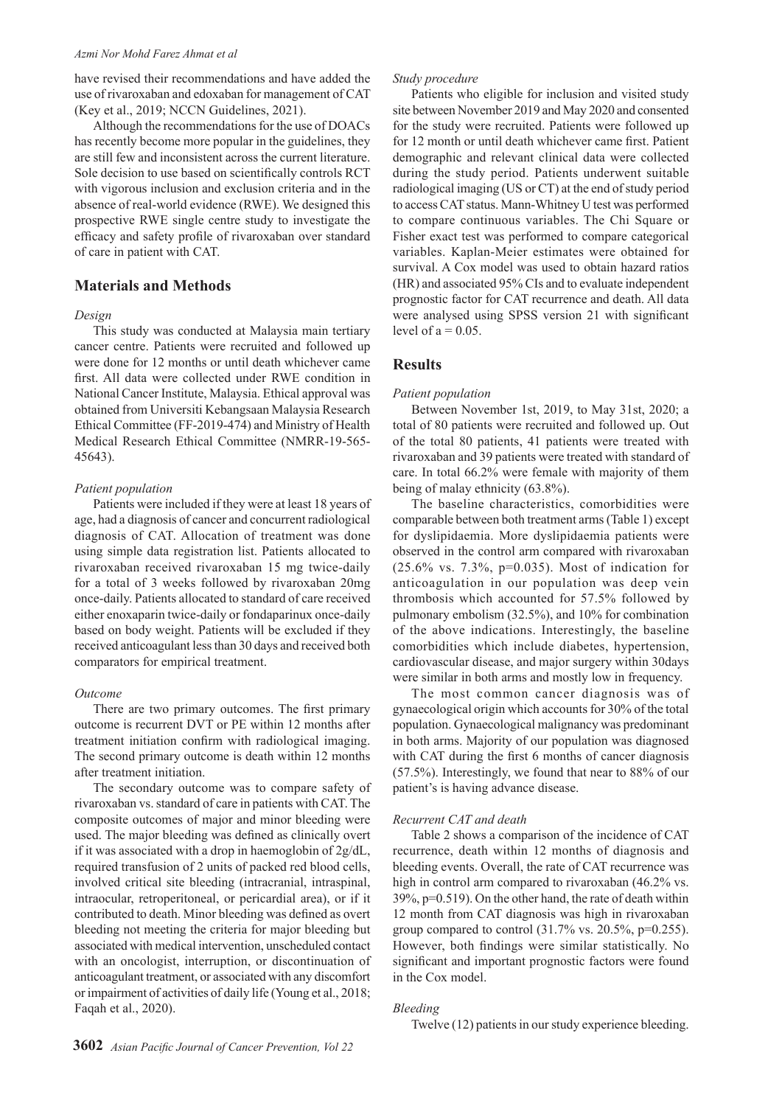#### *Azmi Nor Mohd Farez Ahmat et al*

have revised their recommendations and have added the use of rivaroxaban and edoxaban for management of CAT (Key et al., 2019; NCCN Guidelines, 2021).

Although the recommendations for the use of DOACs has recently become more popular in the guidelines, they are still few and inconsistent across the current literature. Sole decision to use based on scientifically controls RCT with vigorous inclusion and exclusion criteria and in the absence of real-world evidence (RWE). We designed this prospective RWE single centre study to investigate the efficacy and safety profile of rivaroxaban over standard of care in patient with CAT.

## **Materials and Methods**

#### *Design*

This study was conducted at Malaysia main tertiary cancer centre. Patients were recruited and followed up were done for 12 months or until death whichever came first. All data were collected under RWE condition in National Cancer Institute, Malaysia. Ethical approval was obtained from Universiti Kebangsaan Malaysia Research Ethical Committee (FF-2019-474) and Ministry of Health Medical Research Ethical Committee (NMRR-19-565- 45643).

#### *Patient population*

Patients were included if they were at least 18 years of age, had a diagnosis of cancer and concurrent radiological diagnosis of CAT. Allocation of treatment was done using simple data registration list. Patients allocated to rivaroxaban received rivaroxaban 15 mg twice-daily for a total of 3 weeks followed by rivaroxaban 20mg once-daily. Patients allocated to standard of care received either enoxaparin twice-daily or fondaparinux once-daily based on body weight. Patients will be excluded if they received anticoagulant less than 30 days and received both comparators for empirical treatment.

#### *Outcome*

There are two primary outcomes. The first primary outcome is recurrent DVT or PE within 12 months after treatment initiation confirm with radiological imaging. The second primary outcome is death within 12 months after treatment initiation.

The secondary outcome was to compare safety of rivaroxaban vs. standard of care in patients with CAT. The composite outcomes of major and minor bleeding were used. The major bleeding was defined as clinically overt if it was associated with a drop in haemoglobin of 2g/dL, required transfusion of 2 units of packed red blood cells, involved critical site bleeding (intracranial, intraspinal, intraocular, retroperitoneal, or pericardial area), or if it contributed to death. Minor bleeding was defined as overt bleeding not meeting the criteria for major bleeding but associated with medical intervention, unscheduled contact with an oncologist, interruption, or discontinuation of anticoagulant treatment, or associated with any discomfort or impairment of activities of daily life (Young et al., 2018; Faqah et al., 2020).

## *Study procedure*

Patients who eligible for inclusion and visited study site between November 2019 and May 2020 and consented for the study were recruited. Patients were followed up for 12 month or until death whichever came first. Patient demographic and relevant clinical data were collected during the study period. Patients underwent suitable radiological imaging (US or CT) at the end of study period to access CAT status. Mann-Whitney U test was performed to compare continuous variables. The Chi Square or Fisher exact test was performed to compare categorical variables. Kaplan-Meier estimates were obtained for survival. A Cox model was used to obtain hazard ratios (HR) and associated 95% CIs and to evaluate independent prognostic factor for CAT recurrence and death. All data were analysed using SPSS version 21 with significant level of  $a = 0.05$ .

## **Results**

#### *Patient population*

Between November 1st, 2019, to May 31st, 2020; a total of 80 patients were recruited and followed up. Out of the total 80 patients, 41 patients were treated with rivaroxaban and 39 patients were treated with standard of care. In total 66.2% were female with majority of them being of malay ethnicity (63.8%).

The baseline characteristics, comorbidities were comparable between both treatment arms (Table 1) except for dyslipidaemia. More dyslipidaemia patients were observed in the control arm compared with rivaroxaban (25.6% vs. 7.3%, p=0.035). Most of indication for anticoagulation in our population was deep vein thrombosis which accounted for 57.5% followed by pulmonary embolism (32.5%), and 10% for combination of the above indications. Interestingly, the baseline comorbidities which include diabetes, hypertension, cardiovascular disease, and major surgery within 30days were similar in both arms and mostly low in frequency.

The most common cancer diagnosis was of gynaecological origin which accounts for 30% of the total population. Gynaecological malignancy was predominant in both arms. Majority of our population was diagnosed with CAT during the first 6 months of cancer diagnosis (57.5%). Interestingly, we found that near to 88% of our patient's is having advance disease.

#### *Recurrent CAT and death*

Table 2 shows a comparison of the incidence of CAT recurrence, death within 12 months of diagnosis and bleeding events. Overall, the rate of CAT recurrence was high in control arm compared to rivaroxaban (46.2% vs. 39%, p=0.519). On the other hand, the rate of death within 12 month from CAT diagnosis was high in rivaroxaban group compared to control  $(31.7\% \text{ vs. } 20.5\%, \text{p=0.255}).$ However, both findings were similar statistically. No significant and important prognostic factors were found in the Cox model.

#### *Bleeding*

Twelve (12) patients in our study experience bleeding.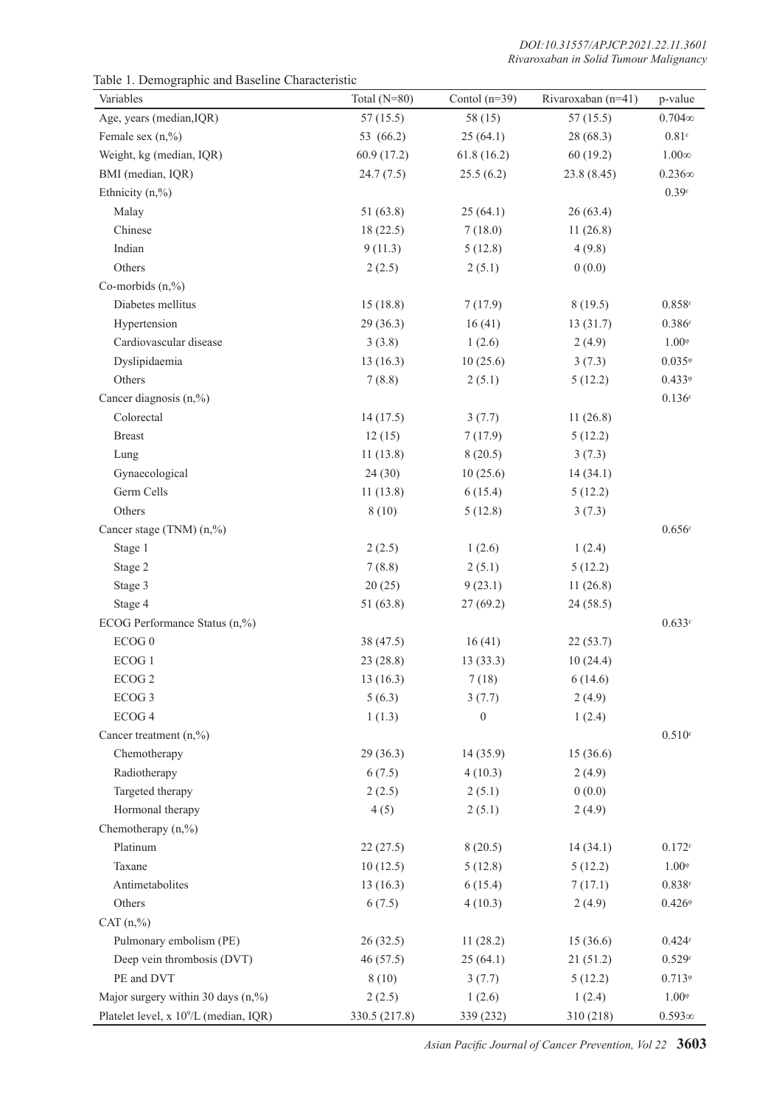Table 1. Demographic and Baseline Characteristic

| Variables                                          | Total $(N=80)$ | Contol $(n=39)$  | Rivaroxaban (n=41) | p-value                                     |
|----------------------------------------------------|----------------|------------------|--------------------|---------------------------------------------|
| Age, years (median, IQR)                           | 57(15.5)       | 58(15)           | 57(15.5)           | $0.704\infty$                               |
| Female sex $(n, %$                                 | 53 (66.2)      | 25(64.1)         | 28 (68.3)          | $0.81^{\varepsilon}$                        |
| Weight, kg (median, IQR)                           | 60.9 (17.2)    | 61.8(16.2)       | 60(19.2)           | $1.00\infty$                                |
| BMI (median, IQR)                                  | 24.7(7.5)      | 25.5(6.2)        | 23.8 (8.45)        | $0.236\infty$                               |
| Ethnicity $(n, %$                                  |                |                  |                    | $0.39^{\epsilon}$                           |
| Malay                                              | 51(63.8)       | 25(64.1)         | 26(63.4)           |                                             |
| Chinese                                            | 18(22.5)       | 7(18.0)          | 11(26.8)           |                                             |
| Indian                                             | 9(11.3)        | 5(12.8)          | 4(9.8)             |                                             |
| Others                                             | 2(2.5)         | 2(5.1)           | 0(0.0)             |                                             |
| Co-morbids $(n, %$                                 |                |                  |                    |                                             |
| Diabetes mellitus                                  | 15(18.8)       | 7(17.9)          | 8(19.5)            | $0.858^{\epsilon}$                          |
| Hypertension                                       | 29(36.3)       | 16(41)           | 13(31.7)           | $0.386^{\epsilon}$                          |
| Cardiovascular disease                             | 3(3.8)         | 1(2.6)           | 2(4.9)             | $1.00^{\circ}$                              |
| Dyslipidaemia                                      | 13(16.3)       | 10(25.6)         | 3(7.3)             | $0.035^{\circ}$                             |
| Others                                             | 7(8.8)         | 2(5.1)           | 5(12.2)            | $0.433$ <sup><math>\circ</math></sup>       |
| Cancer diagnosis $(n, %)$                          |                |                  |                    | $0.136^{\epsilon}$                          |
| Colorectal                                         | 14(17.5)       | 3(7.7)           | 11(26.8)           |                                             |
| <b>Breast</b>                                      | 12(15)         | 7(17.9)          | 5(12.2)            |                                             |
| Lung                                               | 11(13.8)       | 8(20.5)          | 3(7.3)             |                                             |
| Gynaecological                                     | 24(30)         | 10(25.6)         | 14(34.1)           |                                             |
| Germ Cells                                         | 11(13.8)       | 6(15.4)          | 5(12.2)            |                                             |
| Others                                             | 8(10)          | 5(12.8)          | 3(7.3)             |                                             |
| Cancer stage (TNM) (n,%)                           |                |                  |                    | $0.656^{\epsilon}$                          |
| Stage 1                                            | 2(2.5)         | 1(2.6)           | 1(2.4)             |                                             |
| Stage 2                                            | 7(8.8)         | 2(5.1)           | 5(12.2)            |                                             |
| Stage 3                                            | 20(25)         | 9(23.1)          | 11(26.8)           |                                             |
| Stage 4                                            | 51(63.8)       | 27(69.2)         | 24 (58.5)          |                                             |
| ECOG Performance Status (n,%)                      |                |                  |                    | $0.633^{\epsilon}$                          |
| ECOG <sub>0</sub>                                  | 38(47.5)       | 16(41)           | 22(53.7)           |                                             |
| ECOG 1                                             | 23(28.8)       | 13(33.3)         | 10(24.4)           |                                             |
| ECOG <sub>2</sub>                                  | 13(16.3)       | 7(18)            | 6(14.6)            |                                             |
| ECOG <sub>3</sub>                                  | 5(6.3)         | 3(7.7)           | 2(4.9)             |                                             |
| ECOG 4                                             | 1(1.3)         | $\boldsymbol{0}$ | 1(2.4)             |                                             |
| Cancer treatment $(n, %)$                          |                |                  |                    | $0.510^{\epsilon}$                          |
| Chemotherapy                                       | 29(36.3)       | 14(35.9)         | 15(36.6)           |                                             |
| Radiotherapy                                       | 6(7.5)         | 4(10.3)          | 2(4.9)             |                                             |
| Targeted therapy                                   | 2(2.5)         | 2(5.1)           | 0(0.0)             |                                             |
| Hormonal therapy                                   | 4(5)           | 2(5.1)           | 2(4.9)             |                                             |
| Chemotherapy $(n, %$                               |                |                  |                    |                                             |
| Platinum                                           | 22(27.5)       | 8(20.5)          | 14(34.1)           | $0.172$ <sup><math>\epsilon</math></sup>    |
| Taxane                                             | 10(12.5)       | 5(12.8)          | 5(12.2)            | $1.00^{\circ}$                              |
| Antimetabolites                                    | 13(16.3)       | 6(15.4)          | 7(17.1)            | $0.838^{\epsilon}$                          |
| Others                                             | 6(7.5)         | 4(10.3)          | 2(4.9)             | $0.426$ <sup><math>\circ</math></sup>       |
| CAT (n, %                                          |                |                  |                    |                                             |
| Pulmonary embolism (PE)                            | 26(32.5)       | 11(28.2)         | 15(36.6)           | $0.424$ <sup><math>\varepsilon</math></sup> |
| Deep vein thrombosis (DVT)                         | 46(57.5)       | 25(64.1)         | 21(51.2)           | $0.529$ <sup><math>\epsilon</math></sup>    |
| PE and DVT                                         | 8(10)          | 3(7.7)           | 5(12.2)            | $0.713$ <sup><math>\circ</math></sup>       |
| Major surgery within 30 days $(n, %)$              | 2(2.5)         | 1(2.6)           | 1(2.4)             | $1.00^{\circ}$                              |
| Platelet level, x 10 <sup>9</sup> /L (median, IQR) | 330.5 (217.8)  | 339 (232)        | 310 (218)          | $0.593\infty$                               |

*Asian Pacific Journal of Cancer Prevention, Vol 22* **3603**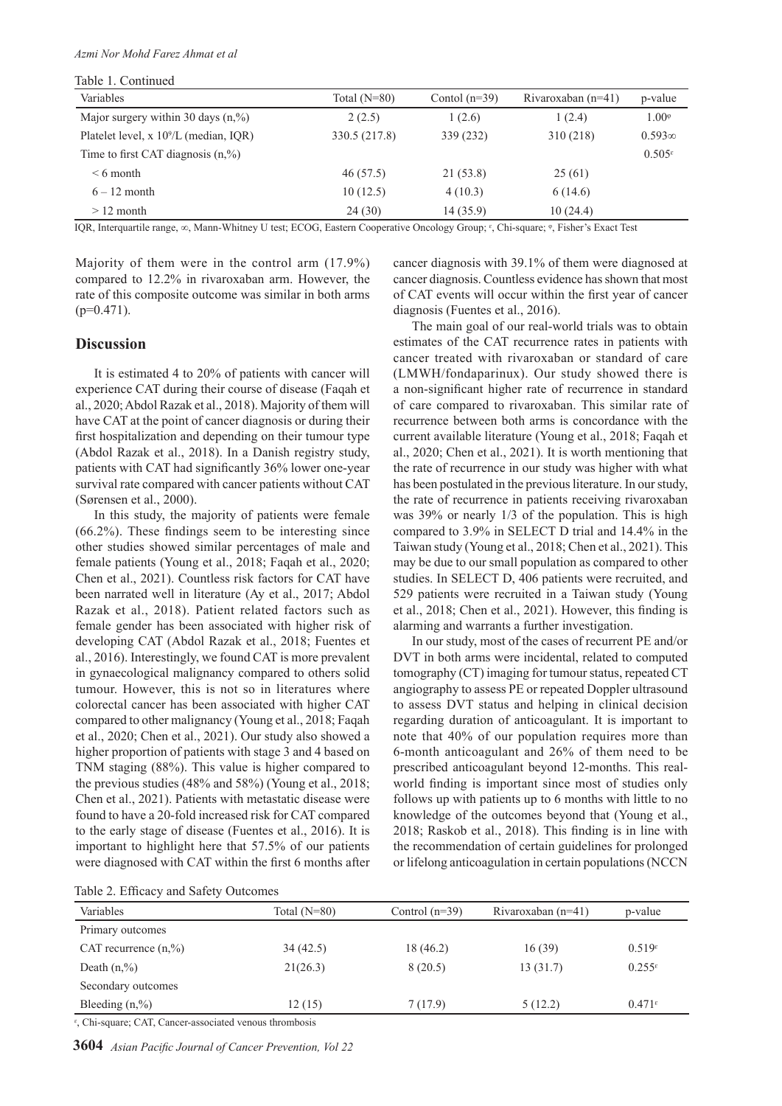#### *Azmi Nor Mohd Farez Ahmat et al*

Table 1. Continued

| таріс т. Сопинцей                                  |                |                 |                      |                    |
|----------------------------------------------------|----------------|-----------------|----------------------|--------------------|
| Variables                                          | Total $(N=80)$ | Contol $(n=39)$ | Rivaroxaban $(n=41)$ | p-value            |
| Major surgery within 30 days $(n, %$ )             | 2(2.5)         | 1(2.6)          | 1(2.4)               | $1.00^{\circ}$     |
| Platelet level, x 10 <sup>9</sup> /L (median, IQR) | 330.5 (217.8)  | 339 (232)       | 310 (218)            | $0.593\infty$      |
| Time to first CAT diagnosis $(n, %$ )              |                |                 |                      | $0.505^{\epsilon}$ |
| $\leq 6$ month                                     | 46 (57.5)      | 21 (53.8)       | 25(61)               |                    |
| $6 - 12$ month                                     | 10(12.5)       | 4(10.3)         | 6(14.6)              |                    |
| $>12$ month                                        | 24(30)         | 14(35.9)        | 10(24.4)             |                    |

IQR, Interquartile range, ∞, Mann-Whitney U test; ECOG, Eastern Cooperative Oncology Group; ᵋ, Chi-square; ᵠ, Fisher's Exact Test

Majority of them were in the control arm (17.9%) compared to 12.2% in rivaroxaban arm. However, the rate of this composite outcome was similar in both arms  $(p=0.471)$ .

#### **Discussion**

It is estimated 4 to 20% of patients with cancer will experience CAT during their course of disease (Faqah et al., 2020; Abdol Razak et al., 2018). Majority of them will have CAT at the point of cancer diagnosis or during their first hospitalization and depending on their tumour type (Abdol Razak et al., 2018). In a Danish registry study, patients with CAT had significantly 36% lower one-year survival rate compared with cancer patients without CAT (Sørensen et al., 2000).

In this study, the majority of patients were female (66.2%). These findings seem to be interesting since other studies showed similar percentages of male and female patients (Young et al., 2018; Faqah et al., 2020; Chen et al., 2021). Countless risk factors for CAT have been narrated well in literature (Ay et al., 2017; Abdol Razak et al., 2018). Patient related factors such as female gender has been associated with higher risk of developing CAT (Abdol Razak et al., 2018; Fuentes et al., 2016). Interestingly, we found CAT is more prevalent in gynaecological malignancy compared to others solid tumour. However, this is not so in literatures where colorectal cancer has been associated with higher CAT compared to other malignancy (Young et al., 2018; Faqah et al., 2020; Chen et al., 2021). Our study also showed a higher proportion of patients with stage 3 and 4 based on TNM staging (88%). This value is higher compared to the previous studies (48% and 58%) (Young et al., 2018; Chen et al., 2021). Patients with metastatic disease were found to have a 20-fold increased risk for CAT compared to the early stage of disease (Fuentes et al., 2016). It is important to highlight here that 57.5% of our patients were diagnosed with CAT within the first 6 months after

cancer diagnosis with 39.1% of them were diagnosed at cancer diagnosis. Countless evidence has shown that most of CAT events will occur within the first year of cancer diagnosis (Fuentes et al., 2016).

The main goal of our real-world trials was to obtain estimates of the CAT recurrence rates in patients with cancer treated with rivaroxaban or standard of care (LMWH/fondaparinux). Our study showed there is a non-significant higher rate of recurrence in standard of care compared to rivaroxaban. This similar rate of recurrence between both arms is concordance with the current available literature (Young et al., 2018; Faqah et al., 2020; Chen et al., 2021). It is worth mentioning that the rate of recurrence in our study was higher with what has been postulated in the previous literature. In our study, the rate of recurrence in patients receiving rivaroxaban was 39% or nearly 1/3 of the population. This is high compared to 3.9% in SELECT D trial and 14.4% in the Taiwan study (Young et al., 2018; Chen et al., 2021). This may be due to our small population as compared to other studies. In SELECT D, 406 patients were recruited, and 529 patients were recruited in a Taiwan study (Young et al., 2018; Chen et al., 2021). However, this finding is alarming and warrants a further investigation.

In our study, most of the cases of recurrent PE and/or DVT in both arms were incidental, related to computed tomography (CT) imaging for tumour status, repeated CT angiography to assess PE or repeated Doppler ultrasound to assess DVT status and helping in clinical decision regarding duration of anticoagulant. It is important to note that 40% of our population requires more than 6-month anticoagulant and 26% of them need to be prescribed anticoagulant beyond 12-months. This realworld finding is important since most of studies only follows up with patients up to 6 months with little to no knowledge of the outcomes beyond that (Young et al., 2018; Raskob et al., 2018). This finding is in line with the recommendation of certain guidelines for prolonged or lifelong anticoagulation in certain populations (NCCN

|  |  | Table 2. Efficacy and Safety Outcomes |
|--|--|---------------------------------------|
|  |  |                                       |

| $14010 \, \text{m}$ . Ellicacy and barcly Outcomes |                |                  |                      |                                          |  |
|----------------------------------------------------|----------------|------------------|----------------------|------------------------------------------|--|
| Variables                                          | Total $(N=80)$ | Control $(n=39)$ | Rivaroxaban $(n=41)$ | p-value                                  |  |
| Primary outcomes                                   |                |                  |                      |                                          |  |
| CAT recurrence $(n, %)$                            | 34(42.5)       | 18(46.2)         | 16(39)               | $0.519$ <sup><math>\epsilon</math></sup> |  |
| Death $(n, %$                                      | 21(26.3)       | 8(20.5)          | 13(31.7)             | $0.255^{\epsilon}$                       |  |
| Secondary outcomes                                 |                |                  |                      |                                          |  |
| Bleeding $(n, %$                                   | 12(15)         | 7(17.9)          | 5(12.2)              | $0.471$ <sup><math>\epsilon</math></sup> |  |
|                                                    |                |                  |                      |                                          |  |

ᵋ, Chi-square; CAT, Cancer-associated venous thrombosis

**3604** *Asian Pacific Journal of Cancer Prevention, Vol 22*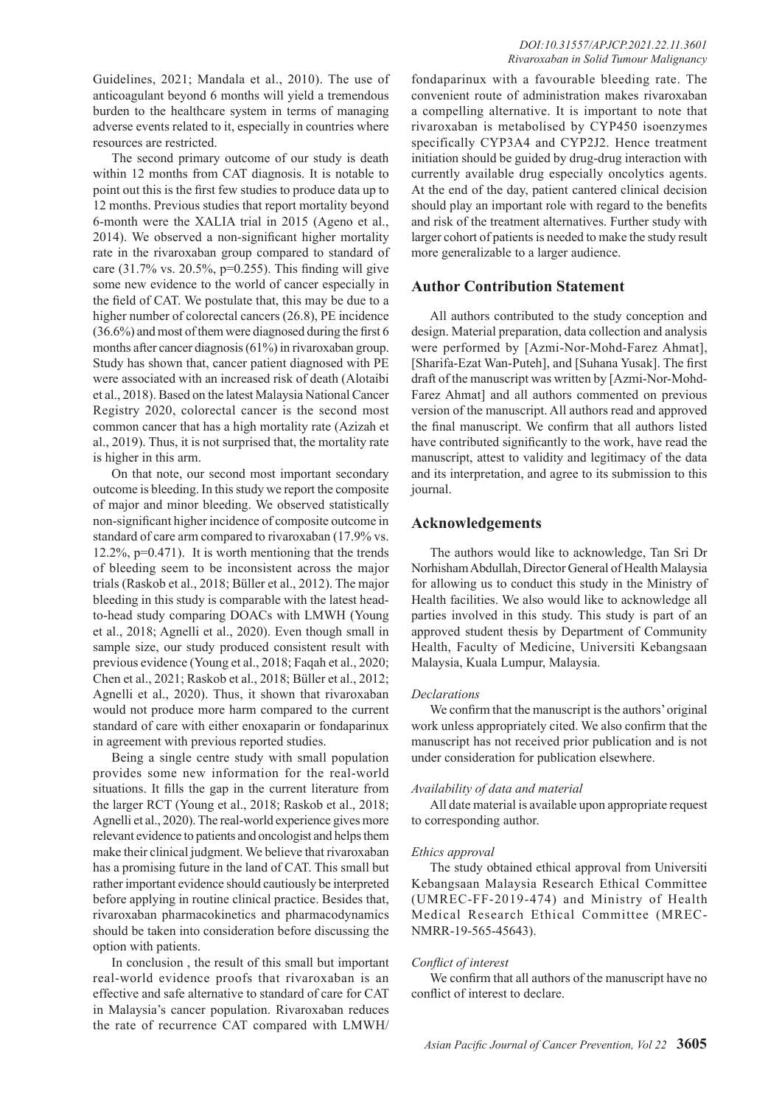The second primary outcome of our study is death within 12 months from CAT diagnosis. It is notable to point out this is the first few studies to produce data up to 12 months. Previous studies that report mortality beyond 6-month were the XALIA trial in 2015 (Ageno et al., 2014). We observed a non-significant higher mortality rate in the rivaroxaban group compared to standard of care  $(31.7\% \text{ vs. } 20.5\% \text{, } p=0.255)$ . This finding will give some new evidence to the world of cancer especially in the field of CAT. We postulate that, this may be due to a higher number of colorectal cancers (26.8), PE incidence (36.6%) and most of them were diagnosed during the first 6 months after cancer diagnosis (61%) in rivaroxaban group. Study has shown that, cancer patient diagnosed with PE were associated with an increased risk of death (Alotaibi et al., 2018). Based on the latest Malaysia National Cancer Registry 2020, colorectal cancer is the second most common cancer that has a high mortality rate (Azizah et al., 2019). Thus, it is not surprised that, the mortality rate is higher in this arm.

On that note, our second most important secondary outcome is bleeding. In this study we report the composite of major and minor bleeding. We observed statistically non-significant higher incidence of composite outcome in standard of care arm compared to rivaroxaban (17.9% vs. 12.2%, p=0.471). It is worth mentioning that the trends of bleeding seem to be inconsistent across the major trials (Raskob et al., 2018; Büller et al., 2012). The major bleeding in this study is comparable with the latest headto-head study comparing DOACs with LMWH (Young et al., 2018; Agnelli et al., 2020). Even though small in sample size, our study produced consistent result with previous evidence (Young et al., 2018; Faqah et al., 2020; Chen et al., 2021; Raskob et al., 2018; Büller et al., 2012; Agnelli et al., 2020). Thus, it shown that rivaroxaban would not produce more harm compared to the current standard of care with either enoxaparin or fondaparinux in agreement with previous reported studies.

Being a single centre study with small population provides some new information for the real-world situations. It fills the gap in the current literature from the larger RCT (Young et al., 2018; Raskob et al., 2018; Agnelli et al., 2020). The real-world experience gives more relevant evidence to patients and oncologist and helps them make their clinical judgment. We believe that rivaroxaban has a promising future in the land of CAT. This small but rather important evidence should cautiously be interpreted before applying in routine clinical practice. Besides that, rivaroxaban pharmacokinetics and pharmacodynamics should be taken into consideration before discussing the option with patients.

In conclusion , the result of this small but important real-world evidence proofs that rivaroxaban is an effective and safe alternative to standard of care for CAT in Malaysia's cancer population. Rivaroxaban reduces the rate of recurrence CAT compared with LMWH/

fondaparinux with a favourable bleeding rate. The convenient route of administration makes rivaroxaban a compelling alternative. It is important to note that rivaroxaban is metabolised by CYP450 isoenzymes specifically CYP3A4 and CYP2J2. Hence treatment initiation should be guided by drug-drug interaction with currently available drug especially oncolytics agents. At the end of the day, patient cantered clinical decision should play an important role with regard to the benefits and risk of the treatment alternatives. Further study with larger cohort of patients is needed to make the study result more generalizable to a larger audience.

## **Author Contribution Statement**

All authors contributed to the study conception and design. Material preparation, data collection and analysis were performed by [Azmi-Nor-Mohd-Farez Ahmat], [Sharifa-Ezat Wan-Puteh], and [Suhana Yusak]. The first draft of the manuscript was written by [Azmi-Nor-Mohd-Farez Ahmat] and all authors commented on previous version of the manuscript. All authors read and approved the final manuscript. We confirm that all authors listed have contributed significantly to the work, have read the manuscript, attest to validity and legitimacy of the data and its interpretation, and agree to its submission to this journal.

## **Acknowledgements**

The authors would like to acknowledge, Tan Sri Dr Norhisham Abdullah, Director General of Health Malaysia for allowing us to conduct this study in the Ministry of Health facilities. We also would like to acknowledge all parties involved in this study. This study is part of an approved student thesis by Department of Community Health, Faculty of Medicine, Universiti Kebangsaan Malaysia, Kuala Lumpur, Malaysia.

## *Declarations*

We confirm that the manuscript is the authors' original work unless appropriately cited. We also confirm that the manuscript has not received prior publication and is not under consideration for publication elsewhere.

## *Availability of data and material*

All date material is available upon appropriate request to corresponding author.

#### *Ethics approval*

The study obtained ethical approval from Universiti Kebangsaan Malaysia Research Ethical Committee (UMREC-FF-2019-474) and Ministry of Health Medical Research Ethical Committee (MREC-NMRR-19-565-45643).

## *Conflict of interest*

We confirm that all authors of the manuscript have no conflict of interest to declare.